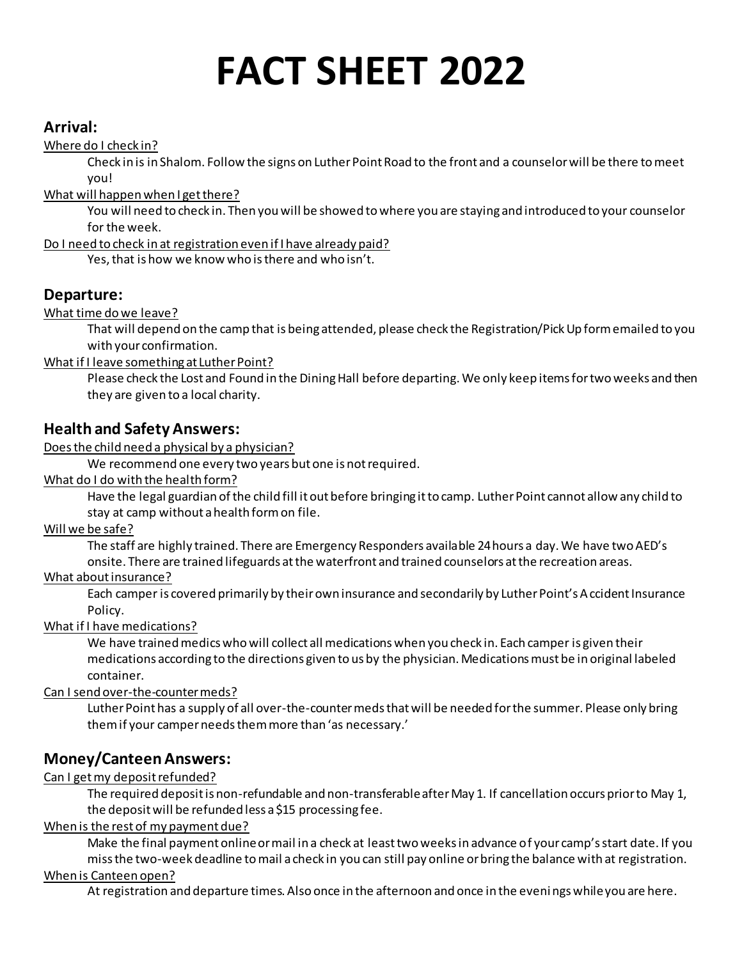# **FACT SHEET 2022**

## **Arrival:**

Where do I check in?

Check in is in Shalom. Follow the signs on Luther Point Road to the front and a counselor will be there to meet you!

What will happen when I get there?

You will need to check in. Then you will be showed to where you are staying and introduced to your counselor for the week.

Do I need to check in at registration even if I have already paid?

Yes, that is how we know who is there and who isn't.

# **Departure:**

What time do we leave?

That will depend on the camp that is being attended, please check the Registration/Pick Up form emailed to you with your confirmation.

What if I leave something at Luther Point?

Please check the Lost and Found in the Dining Hall before departing. We only keep items for two weeks and then they are given to a local charity.

# **Health and Safety Answers:**

Does the child need a physical by a physician?

We recommend one every two years but one is not required.

What do I do with the health form?

Have the legal guardian of the child fill it out before bringing it to camp. Luther Point cannot allow any child to stay at camp without a health form on file.

Will we be safe?

The staff are highly trained. There are Emergency Responders available 24 hours a day. We have two AED's onsite. There are trained lifeguards at the waterfront and trained counselors at the recreation areas.

## What about insurance?

Each camper is covered primarily by their own insurance and secondarily by Luther Point's Accident Insurance Policy.

What if I have medications?

We have trained medics who will collect all medications when you check in. Each camper is given their medications according to the directions given to us by the physician. Medications must be in original labeled container.

Can I send over-the-counter meds?

Luther Point has a supply of all over-the-counter meds that will be needed for the summer. Please only bring them if your camper needs them more than 'as necessary.'

# **Money/Canteen Answers:**

Can I get my deposit refunded?

The required deposit is non-refundable and non-transferable after May 1. If cancellation occurs prior to May 1, the deposit will be refunded less a \$15 processing fee.

#### When is the rest of my payment due?

Make the final payment online or mail in a check at least two weeks in advance of your camp's start date. If you miss the two-week deadline to mail a check in you can still pay online or bring the balance with at registration.

## When is Canteen open?

At registration and departure times. Also once in the afternoon and once in the evenings while you are here.